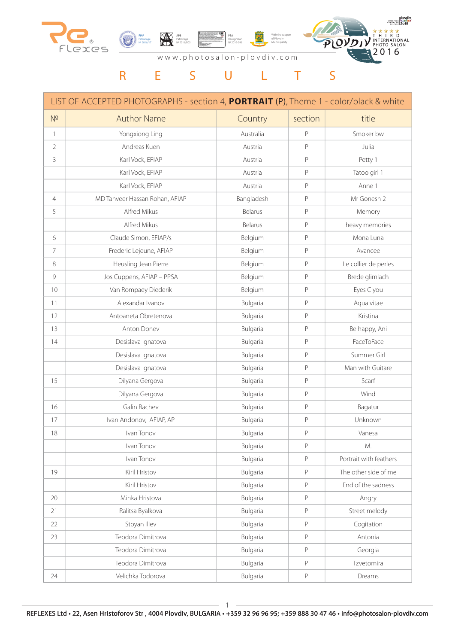

### www.photosalon-plovdiv.com

# R E S U L T S

|                 | LIST OF ACCEPTED PHOTOGRAPHS - section 4, PORTRAIT (P), Theme 1 - color/black & white |            |              |                        |
|-----------------|---------------------------------------------------------------------------------------|------------|--------------|------------------------|
| N <sup>2</sup>  | <b>Author Name</b>                                                                    | Country    | section      | title                  |
| $\mathbf{1}$    | Yongxiong Ling                                                                        | Australia  | P            | Smoker bw              |
| 2               | Andreas Kuen                                                                          | Austria    | P            | Julia                  |
| 3               | Karl Vock, EFIAP                                                                      | Austria    | P            | Petty 1                |
|                 | Karl Vock, EFIAP                                                                      | Austria    | P            | Tatoo girl 1           |
|                 | Karl Vock, EFIAP                                                                      | Austria    | P            | Anne 1                 |
| $\overline{4}$  | MD Tanveer Hassan Rohan, AFIAP                                                        | Bangladesh | P            | Mr Gonesh 2            |
| 5               | Alfred Mikus                                                                          | Belarus    | P            | Memory                 |
|                 | Alfred Mikus                                                                          | Belarus    | P            | heavy memories         |
| 6               | Claude Simon, EFIAP/s                                                                 | Belgium    | P            | Mona Luna              |
| $\overline{7}$  | Frederic Lejeune, AFIAP                                                               | Belgium    | P            | Avancee                |
| 8               | Heusling Jean Pierre                                                                  | Belgium    | P            | Le collier de perles   |
| 9               | Jos Cuppens, AFIAP - PPSA                                                             | Belgium    | P            | Brede glimlach         |
| 10 <sup>°</sup> | Van Rompaey Diederik                                                                  | Belgium    | P            | Eyes C you             |
| 11              | Alexandar Ivanov                                                                      | Bulgaria   | P            | Aqua vitae             |
| 12              | Antoaneta Obretenova                                                                  | Bulgaria   | P            | Kristina               |
| 13              | Anton Donev                                                                           | Bulgaria   | P            | Be happy, Ani          |
| 14              | Desislava Ignatova                                                                    | Bulgaria   | P            | FaceToFace             |
|                 | Desislava Ignatova                                                                    | Bulgaria   | P            | Summer Girl            |
|                 | Desislava Ignatova                                                                    | Bulgaria   | $\mathsf{P}$ | Man with Guitare       |
| 15              | Dilyana Gergova                                                                       | Bulgaria   | P            | Scarf                  |
|                 | Dilyana Gergova                                                                       | Bulgaria   | P            | Wind                   |
| 16              | Galin Rachev                                                                          | Bulgaria   | P            | Bagatur                |
| 17              | Ivan Andonov, AFIAP, AP                                                               | Bulgaria   | P            | Unknown                |
| 18              | Ivan Tonov                                                                            | Bulgaria   | P            | Vanesa                 |
|                 | Ivan Tonov                                                                            | Bulgaria   | P            | M.                     |
|                 | Ivan Tonov                                                                            | Bulgaria   | P            | Portrait with feathers |
| 19              | Kiril Hristov                                                                         | Bulgaria   | P            | The other side of me   |
|                 | Kiril Hristov                                                                         | Bulgaria   | P            | End of the sadness     |
| 20              | Minka Hristova                                                                        | Bulgaria   | P            | Angry                  |
| 21              | Ralitsa Byalkova                                                                      | Bulgaria   | P            | Street melody          |
| 22              | Stoyan Iliev                                                                          | Bulgaria   | P            | Cogitation             |
| 23              | Teodora Dimitrova                                                                     | Bulgaria   | P            | Antonia                |
|                 | Teodora Dimitrova                                                                     | Bulgaria   | P            | Georgia                |
|                 | Teodora Dimitrova                                                                     | Bulgaria   | P            | Tzvetomira             |
| 24              | Velichka Todorova                                                                     | Bulgaria   | $\mathsf P$  | Dreams                 |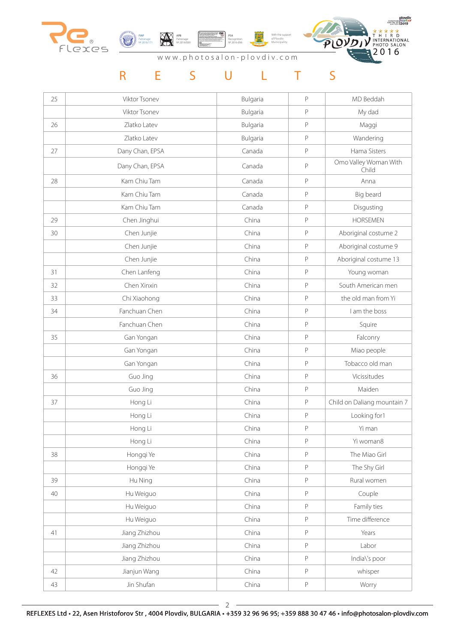



АPB Patronage № 2016/003

With the support of Plovdiv Municipality PSA Recognition № 2016-096



| 25 | Viktor Tsonev   | Bulgaria | P            | MD Beddah                      |
|----|-----------------|----------|--------------|--------------------------------|
|    | Viktor Tsonev   | Bulgaria | P            | My dad                         |
| 26 | Zlatko Latev    | Bulgaria | $\mathsf{P}$ | Maggi                          |
|    | Zlatko Latev    | Bulgaria | P            | Wandering                      |
| 27 | Dany Chan, EPSA | Canada   | $\mathsf P$  | Hama Sisters                   |
|    | Dany Chan, EPSA | Canada   | P            | Omo Valley Woman With<br>Child |
| 28 | Kam Chiu Tam    | Canada   | $\mathsf P$  | Anna                           |
|    | Kam Chiu Tam    | Canada   | P            | Big beard                      |
|    | Kam Chiu Tam    | Canada   | P            | Disgusting                     |
| 29 | Chen Jinghui    | China    | P            | <b>HORSEMEN</b>                |
| 30 | Chen Junjie     | China    | P            | Aboriginal costume 2           |
|    | Chen Junjie     | China    | P            | Aboriginal costume 9           |
|    | Chen Junjie     | China    | $\mathsf P$  | Aboriginal costume 13          |
| 31 | Chen Lanfeng    | China    | P            | Young woman                    |
| 32 | Chen Xinxin     | China    | $\mathsf P$  | South American men             |
| 33 | Chi Xiaohong    | China    | $\mathsf P$  | the old man from Yi            |
| 34 | Fanchuan Chen   | China    | P            | I am the boss                  |
|    | Fanchuan Chen   | China    | P            | Squire                         |
| 35 | Gan Yongan      | China    | $\mathsf{P}$ | Falconry                       |
|    | Gan Yongan      | China    | P            | Miao people                    |
|    | Gan Yongan      | China    | $\mathsf P$  | Tobacco old man                |
| 36 | Guo Jing        | China    | $\mathsf P$  | Vicissitudes                   |
|    | Guo Jing        | China    | $\mathsf P$  | Maiden                         |
| 37 | Hong Li         | China    | P            | Child on Daliang mountain 7    |
|    | Hong Li         | China    | $\mathsf{P}$ | Looking for1                   |
|    | Hong Li         | China    | $\mathsf P$  | Yi man                         |
|    | Hong Li         | China    | $\mathsf P$  | Yi woman8                      |
| 38 | Hongqi Ye       | China    | $\mathsf P$  | The Miao Girl                  |
|    | Hongqi Ye       | China    | $\mathsf P$  | The Shy Girl                   |
| 39 | Hu Ning         | China    | P            | Rural women                    |
| 40 | Hu Weiguo       | China    | P            | Couple                         |
|    | Hu Weiguo       | China    | $\mathsf P$  | Family ties                    |
|    | Hu Weiguo       | China    | $\mathsf P$  | Time difference                |
| 41 | Jiang Zhizhou   | China    | $\mathsf P$  | Years                          |
|    | Jiang Zhizhou   | China    | P            | Labor                          |
|    | Jiang Zhizhou   | China    | P            | India\'s poor                  |
| 42 | Jianjun Wang    | China    | P            | whisper                        |
| 43 | Jin Shufan      | China    | P            | Worry                          |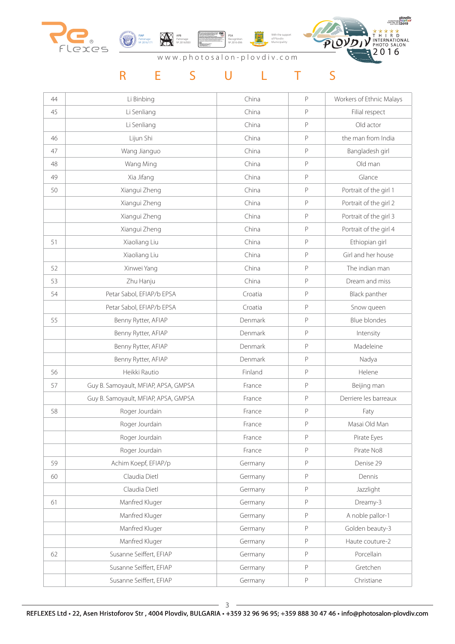



АPB Patronage № 2016/003

With the support of Plovdiv Municipality PSA Recognition № 2016-096



| 44 | Li Binbing                           | China   | P           | Workers of Ethnic Malays |
|----|--------------------------------------|---------|-------------|--------------------------|
| 45 | Li Senliang                          | China   | P           | Filial respect           |
|    | Li Senliang                          | China   | P           | Old actor                |
| 46 | Lijun Shi                            | China   | $\mathsf P$ | the man from India       |
| 47 | Wang Jianguo                         | China   | $\mathsf P$ | Bangladesh girl          |
| 48 | Wang Ming                            | China   | P           | Old man                  |
| 49 | Xia Jifang                           | China   | P           | Glance                   |
| 50 | Xiangui Zheng                        | China   | P           | Portrait of the girl 1   |
|    | Xiangui Zheng                        | China   | P           | Portrait of the girl 2   |
|    | Xiangui Zheng                        | China   | P           | Portrait of the girl 3   |
|    | Xiangui Zheng                        | China   | $\mathsf P$ | Portrait of the girl 4   |
| 51 | Xiaoliang Liu                        | China   | P           | Ethiopian girl           |
|    | Xiaoliang Liu                        | China   | P           | Girl and her house       |
| 52 | Xinwei Yang                          | China   | P           | The indian man           |
| 53 | Zhu Hanju                            | China   | $\mathsf P$ | Dream and miss           |
| 54 | Petar Sabol, EFIAP/b EPSA            | Croatia | P           | Black panther            |
|    | Petar Sabol, EFIAP/b EPSA            | Croatia | $\mathsf P$ | Snow queen               |
| 55 | Benny Rytter, AFIAP                  | Denmark | P           | <b>Blue blondes</b>      |
|    | Benny Rytter, AFIAP                  | Denmark | $\mathsf P$ | Intensity                |
|    | Benny Rytter, AFIAP                  | Denmark | P           | Madeleine                |
|    | Benny Rytter, AFIAP                  | Denmark | P           | Nadya                    |
| 56 | Heikki Rautio                        | Finland | $\mathsf P$ | Helene                   |
| 57 | Guy B. Samoyault, MFIAP, APSA, GMPSA | France  | $\mathsf P$ | Beijing man              |
|    | Guy B. Samoyault, MFIAP, APSA, GMPSA | France  | P           | Derriere les barreaux    |
| 58 | Roger Jourdain                       | France  | P           | Faty                     |
|    | Roger Jourdain                       | France  | P           | Masai Old Man            |
|    | Roger Jourdain                       | France  | P           | Pirate Eyes              |
|    | Roger Jourdain                       | France  | $\mathsf P$ | Pirate No8               |
| 59 | Achim Koepf, EFIAP/p                 | Germany | P           | Denise 29                |
| 60 | Claudia Dietl                        | Germany | P           | Dennis                   |
|    | Claudia Dietl                        | Germany | P           | Jazzlight                |
| 61 | Manfred Kluger                       | Germany | P           | Dreamy-3                 |
|    | Manfred Kluger                       | Germany | P           | A noble pallor-1         |
|    | Manfred Kluger                       | Germany | $\mathsf P$ | Golden beauty-3          |
|    | Manfred Kluger                       | Germany | $\mathsf P$ | Haute couture-2          |
| 62 | Susanne Seiffert, EFIAP              | Germany | P           | Porcellain               |
|    | Susanne Seiffert, EFIAP              | Germany | P           | Gretchen                 |
|    | Susanne Seiffert, EFIAP              | Germany | P           | Christiane               |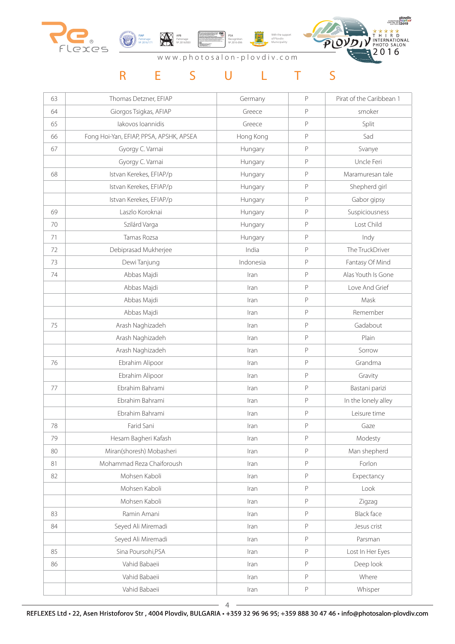



With the support of Plovdiv Municipality PSA Recognition № 2016-096



| 63 | Thomas Detzner, EFIAP                   | Germany   | P | Pirat of the Caribbean 1 |
|----|-----------------------------------------|-----------|---|--------------------------|
| 64 | Giorgos Tsigkas, AFIAP                  | Greece    | P | smoker                   |
| 65 | lakovos loannidis                       | Greece    | P | Split                    |
| 66 | Fong Hoi-Yan, EFIAP, PPSA, APSHK, APSEA | Hong Kong | P | Sad                      |
| 67 | Gyorgy C. Varnai                        | Hungary   | P | Svanye                   |
|    | Gyorgy C. Varnai                        | Hungary   | P | Uncle Feri               |
| 68 | Istvan Kerekes, EFIAP/p                 | Hungary   | P | Maramuresan tale         |
|    | Istvan Kerekes, EFIAP/p                 | Hungary   | P | Shepherd girl            |
|    | Istvan Kerekes, EFIAP/p                 | Hungary   | P | Gabor gipsy              |
| 69 | Laszlo Koroknai                         | Hungary   | P | Suspiciousness           |
| 70 | Szilárd Varga                           | Hungary   | P | Lost Child               |
| 71 | Tamas Rozsa                             | Hungary   | P | Indy                     |
| 72 | Debiprasad Mukherjee                    | India     | P | The TruckDriver          |
| 73 | Dewi Tanjung                            | Indonesia | P | Fantasy Of Mind          |
| 74 | Abbas Majdi                             | Iran      | P | Alas Youth Is Gone       |
|    | Abbas Majdi                             | Iran      | P | Love And Grief           |
|    | Abbas Majdi                             | Iran      | P | Mask                     |
|    | Abbas Majdi                             | Iran      | P | Remember                 |
| 75 | Arash Naghizadeh                        | Iran      | P | Gadabout                 |
|    | Arash Naghizadeh                        | Iran      | P | Plain                    |
|    | Arash Naghizadeh                        | Iran      | P | Sorrow                   |
| 76 | Ebrahim Alipoor                         | Iran      | P | Grandma                  |
|    | Ebrahim Alipoor                         | Iran      | P | Gravity                  |
| 77 | Ebrahim Bahrami                         | Iran      | P | Bastani parizi           |
|    | Ebrahim Bahrami                         | Iran      | P | In the lonely alley      |
|    | Ebrahim Bahrami                         | $\ln$     | P | Leisure time             |
| 78 | Farid Sani                              | Iran      | P | Gaze                     |
| 79 | Hesam Bagheri Kafash                    | Iran      | P | Modesty                  |
| 80 | Miran(shoresh) Mobasheri                | Iran      | P | Man shepherd             |
| 81 | Mohammad Reza Chaiforoush               | Iran      | P | Forlon                   |
| 82 | Mohsen Kaboli                           | Iran      | P | Expectancy               |
|    | Mohsen Kaboli                           | Iran      | P | Look                     |
|    | Mohsen Kaboli                           | Iran      | P | Zigzag                   |
| 83 | Ramin Amani                             | Iran      | P | <b>Black face</b>        |
| 84 | Seyed Ali Miremadi                      | Iran      | P | Jesus crist              |
|    | Seyed Ali Miremadi                      | Iran      | P | Parsman                  |
| 85 | Sina Poursohi, PSA                      | Iran      | P | Lost In Her Eyes         |
| 86 | Vahid Babaeii                           | Iran      | P | Deep look                |
|    | Vahid Babaeii                           | Iran      | P | Where                    |
|    | Vahid Babaeii                           | Iran      | P | Whisper                  |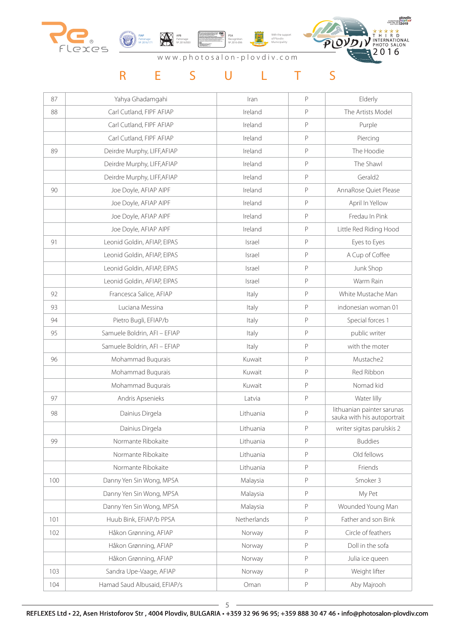



With the support of Plovdiv Municipality PSA Recognition № 2016-096



| 87  | Yahya Ghadamgahi             | Iran        | P           | Elderly                                                   |
|-----|------------------------------|-------------|-------------|-----------------------------------------------------------|
| 88  | Carl Cutland, FIPF AFIAP     | Ireland     | P           | The Artists Model                                         |
|     | Carl Cutland, FIPF AFIAP     | Ireland     | P           | Purple                                                    |
|     | Carl Cutland, FIPF AFIAP     | Ireland     | P           | Piercing                                                  |
| 89  | Deirdre Murphy, LIFF, AFIAP  | Ireland     | P           | The Hoodie                                                |
|     | Deirdre Murphy, LIFF, AFIAP  | Ireland     | P           | The Shawl                                                 |
|     | Deirdre Murphy, LIFF, AFIAP  | Ireland     | P           | Gerald <sub>2</sub>                                       |
| 90  | Joe Doyle, AFIAP AIPF        | Ireland     | P           | AnnaRose Quiet Please                                     |
|     | Joe Doyle, AFIAP AIPF        | Ireland     | P           | April In Yellow                                           |
|     | Joe Doyle, AFIAP AIPF        | Ireland     | P           | Fredau In Pink                                            |
|     | Joe Doyle, AFIAP AIPF        | Ireland     | P           | Little Red Riding Hood                                    |
| 91  | Leonid Goldin, AFIAP, EIPAS  | Israel      | P           | Eyes to Eyes                                              |
|     | Leonid Goldin, AFIAP, EIPAS  | Israel      | P           | A Cup of Coffee                                           |
|     | Leonid Goldin, AFIAP, EIPAS  | Israel      | P           | Junk Shop                                                 |
|     | Leonid Goldin, AFIAP, EIPAS  | Israel      | P           | Warm Rain                                                 |
| 92  | Francesca Salice, AFIAP      | Italy       | P           | White Mustache Man                                        |
| 93  | Luciana Messina              | Italy       | P           | indonesian woman 01                                       |
| 94  | Pietro Bugli, EFIAP/b        | Italy       | P           | Special forces 1                                          |
| 95  | Samuele Boldrin, AFI - EFIAP | Italy       | P           | public writer                                             |
|     | Samuele Boldrin, AFI - EFIAP | Italy       | P           | with the moter                                            |
| 96  | Mohammad Buqurais            | Kuwait      | P           | Mustache2                                                 |
|     | Mohammad Buqurais            | Kuwait      | $\mathsf P$ | Red Ribbon                                                |
|     | Mohammad Buqurais            | Kuwait      | P           | Nomad kid                                                 |
| 97  | Andris Apsenieks             | Latvia      | P           | Water lilly                                               |
| 98  | Dainius Dirgela              | Lithuania   | P           | lithuanian painter sarunas<br>sauka with his autoportrait |
|     | Dainius Dirgela              | Lithuania   | P           | writer sigitas parulskis 2                                |
| 99  | Normante Ribokaite           | Lithuania   | P           | <b>Buddies</b>                                            |
|     | Normante Ribokaite           | Lithuania   | $\mathsf P$ | Old fellows                                               |
|     | Normante Ribokaite           | Lithuania   | P           | Friends                                                   |
| 100 | Danny Yen Sin Wong, MPSA     | Malaysia    | P           | Smoker 3                                                  |
|     | Danny Yen Sin Wong, MPSA     | Malaysia    | P           | My Pet                                                    |
|     | Danny Yen Sin Wong, MPSA     | Malaysia    | P           | Wounded Young Man                                         |
| 101 | Huub Bink, EFIAP/b PPSA      | Netherlands | P           | Father and son Bink                                       |
| 102 | Håkon Grønning, AFIAP        | Norway      | $\mathsf P$ | Circle of feathers                                        |
|     | Håkon Grønning, AFIAP        | Norway      | P           | Doll in the sofa                                          |
|     | Håkon Grønning, AFIAP        | Norway      | P           | Julia ice queen                                           |
| 103 | Sandra Upe-Vaage, AFIAP      | Norway      | P           | Weight lifter                                             |
| 104 | Hamad Saud Albusaid, EFIAP/s | Oman        | P           | Aby Majrooh                                               |